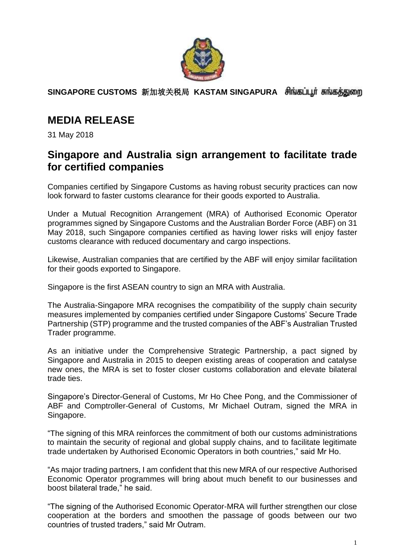

**SINGAPORE CUSTOMS** 新加坡关税局 **KASTAM SINGAPURA** 

# **MEDIA RELEASE**

31 May 2018

### **Singapore and Australia sign arrangement to facilitate trade for certified companies**

Companies certified by Singapore Customs as having robust security practices can now look forward to faster customs clearance for their goods exported to Australia.

Under a Mutual Recognition Arrangement (MRA) of Authorised Economic Operator programmes signed by Singapore Customs and the Australian Border Force (ABF) on 31 May 2018, such Singapore companies certified as having lower risks will enjoy faster customs clearance with reduced documentary and cargo inspections.

Likewise, Australian companies that are certified by the ABF will enjoy similar facilitation for their goods exported to Singapore.

Singapore is the first ASEAN country to sign an MRA with Australia.

The Australia-Singapore MRA recognises the compatibility of the supply chain security measures implemented by companies certified under Singapore Customs' Secure Trade Partnership (STP) programme and the trusted companies of the ABF's Australian Trusted Trader programme.

As an initiative under the Comprehensive Strategic Partnership, a pact signed by Singapore and Australia in 2015 to deepen existing areas of cooperation and catalyse new ones, the MRA is set to foster closer customs collaboration and elevate bilateral trade ties.

Singapore's Director-General of Customs, Mr Ho Chee Pong, and the Commissioner of ABF and Comptroller-General of Customs, Mr Michael Outram, signed the MRA in Singapore.

"The signing of this MRA reinforces the commitment of both our customs administrations to maintain the security of regional and global supply chains, and to facilitate legitimate trade undertaken by Authorised Economic Operators in both countries," said Mr Ho.

"As major trading partners, I am confident that this new MRA of our respective Authorised Economic Operator programmes will bring about much benefit to our businesses and boost bilateral trade," he said.

"The signing of the Authorised Economic Operator-MRA will further strengthen our close cooperation at the borders and smoothen the passage of goods between our two countries of trusted traders," said Mr Outram.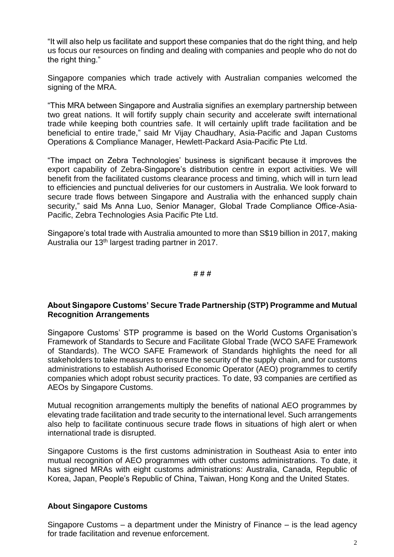"It will also help us facilitate and support these companies that do the right thing, and help us focus our resources on finding and dealing with companies and people who do not do the right thing."

Singapore companies which trade actively with Australian companies welcomed the signing of the MRA.

"This MRA between Singapore and Australia signifies an exemplary partnership between two great nations. It will fortify supply chain security and accelerate swift international trade while keeping both countries safe. It will certainly uplift trade facilitation and be beneficial to entire trade," said Mr Vijay Chaudhary, Asia-Pacific and Japan Customs Operations & Compliance Manager, Hewlett-Packard Asia-Pacific Pte Ltd.

"The impact on Zebra Technologies' business is significant because it improves the export capability of Zebra-Singapore's distribution centre in export activities. We will benefit from the facilitated customs clearance process and timing, which will in turn lead to efficiencies and punctual deliveries for our customers in Australia. We look forward to secure trade flows between Singapore and Australia with the enhanced supply chain security," said Ms Anna Luo, Senior Manager, Global Trade Compliance Office-Asia-Pacific, Zebra Technologies Asia Pacific Pte Ltd.

Singapore's total trade with Australia amounted to more than S\$19 billion in 2017, making Australia our 13th largest trading partner in 2017.

#### **# # #**

### **About Singapore Customs' Secure Trade Partnership (STP) Programme and Mutual Recognition Arrangements**

Singapore Customs' STP programme is based on the World Customs Organisation's Framework of Standards to Secure and Facilitate Global Trade (WCO SAFE Framework of Standards). The WCO SAFE Framework of Standards highlights the need for all stakeholders to take measures to ensure the security of the supply chain, and for customs administrations to establish Authorised Economic Operator (AEO) programmes to certify companies which adopt robust security practices. To date, 93 companies are certified as AEOs by Singapore Customs.

Mutual recognition arrangements multiply the benefits of national AEO programmes by elevating trade facilitation and trade security to the international level. Such arrangements also help to facilitate continuous secure trade flows in situations of high alert or when international trade is disrupted.

Singapore Customs is the first customs administration in Southeast Asia to enter into mutual recognition of AEO programmes with other customs administrations. To date, it has signed MRAs with eight customs administrations: Australia, Canada, Republic of Korea, Japan, People's Republic of China, Taiwan, Hong Kong and the United States.

### **About Singapore Customs**

Singapore Customs – a department under the Ministry of Finance – is the lead agency for trade facilitation and revenue enforcement.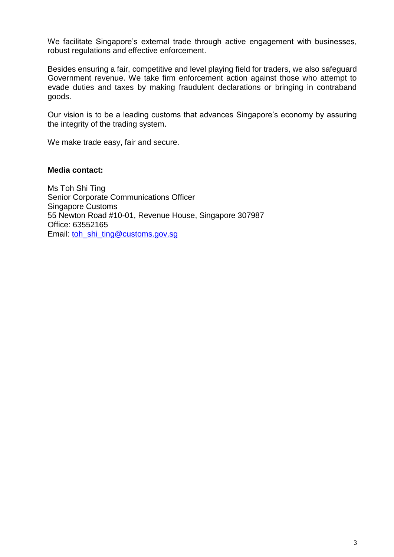We facilitate Singapore's external trade through active engagement with businesses, robust regulations and effective enforcement.

Besides ensuring a fair, competitive and level playing field for traders, we also safeguard Government revenue. We take firm enforcement action against those who attempt to evade duties and taxes by making fraudulent declarations or bringing in contraband goods.

Our vision is to be a leading customs that advances Singapore's economy by assuring the integrity of the trading system.

We make trade easy, fair and secure.

### **Media contact:**

Ms Toh Shi Ting Senior Corporate Communications Officer Singapore Customs 55 Newton Road #10-01, Revenue House, Singapore 307987 Office: 63552165 Email: toh\_shi\_ting@customs.gov.sg